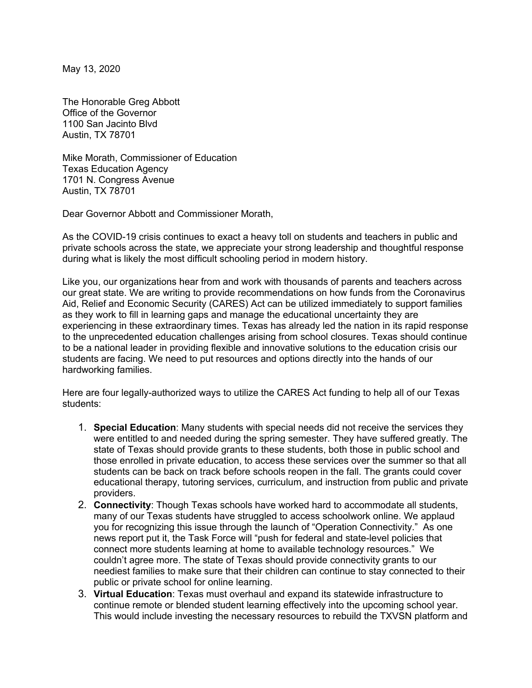May 13, 2020

The Honorable Greg Abbott Office of the Governor 1100 San Jacinto Blvd Austin, TX 78701

Mike Morath, Commissioner of Education Texas Education Agency 1701 N. Congress Avenue Austin, TX 78701

Dear Governor Abbott and Commissioner Morath,

As the COVID-19 crisis continues to exact a heavy toll on students and teachers in public and private schools across the state, we appreciate your strong leadership and thoughtful response during what is likely the most difficult schooling period in modern history.

Like you, our organizations hear from and work with thousands of parents and teachers across our great state. We are writing to provide recommendations on how funds from the Coronavirus Aid, Relief and Economic Security (CARES) Act can be utilized immediately to support families as they work to fill in learning gaps and manage the educational uncertainty they are experiencing in these extraordinary times. Texas has already led the nation in its rapid response to the unprecedented education challenges arising from school closures. Texas should continue to be a national leader in providing flexible and innovative solutions to the education crisis our students are facing. We need to put resources and options directly into the hands of our hardworking families.

Here are four legally-authorized ways to utilize the CARES Act funding to help all of our Texas students:

- 1. **Special Education**: Many students with special needs did not receive the services they were entitled to and needed during the spring semester. They have suffered greatly. The state of Texas should provide grants to these students, both those in public school and those enrolled in private education, to access these services over the summer so that all students can be back on track before schools reopen in the fall. The grants could cover educational therapy, tutoring services, curriculum, and instruction from public and private providers.
- 2. **Connectivity**: Though Texas schools have worked hard to accommodate all students, many of our Texas students have struggled to access schoolwork online. We applaud you for recognizing this issue through the launch of "Operation Connectivity." As one news report put it, the Task Force will "push for federal and state-level policies that connect more students learning at home to available technology resources." We couldn't agree more. The state of Texas should provide connectivity grants to our neediest families to make sure that their children can continue to stay connected to their public or private school for online learning.
- 3. **Virtual Education**: Texas must overhaul and expand its statewide infrastructure to continue remote or blended student learning effectively into the upcoming school year. This would include investing the necessary resources to rebuild the TXVSN platform and